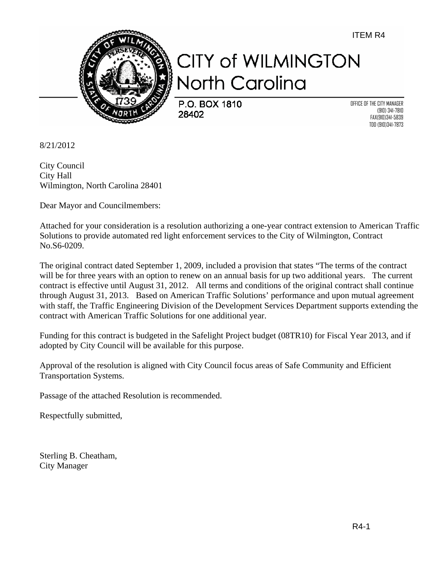ITEM R4



## **CITY of WILMINGTON** North Carolina

P.O. BOX 1810 28402

OFFICE OF THE CITY MANAGER (910) 341-7810 FAX(910)341-5839 TDD (910)341-7873

8/21/2012

City Council City Hall Wilmington, North Carolina 28401

Dear Mayor and Councilmembers:

Attached for your consideration is a resolution authorizing a one-year contract extension to American Traffic Solutions to provide automated red light enforcement services to the City of Wilmington, Contract No.S6-0209.

The original contract dated September 1, 2009, included a provision that states "The terms of the contract will be for three years with an option to renew on an annual basis for up two additional years. The current contract is effective until August 31, 2012. All terms and conditions of the original contract shall continue through August 31, 2013. Based on American Traffic Solutions' performance and upon mutual agreement with staff, the Traffic Engineering Division of the Development Services Department supports extending the contract with American Traffic Solutions for one additional year.

Funding for this contract is budgeted in the Safelight Project budget (08TR10) for Fiscal Year 2013, and if adopted by City Council will be available for this purpose.

Approval of the resolution is aligned with City Council focus areas of Safe Community and Efficient Transportation Systems.

Passage of the attached Resolution is recommended.

Respectfully submitted,

Sterling B. Cheatham, City Manager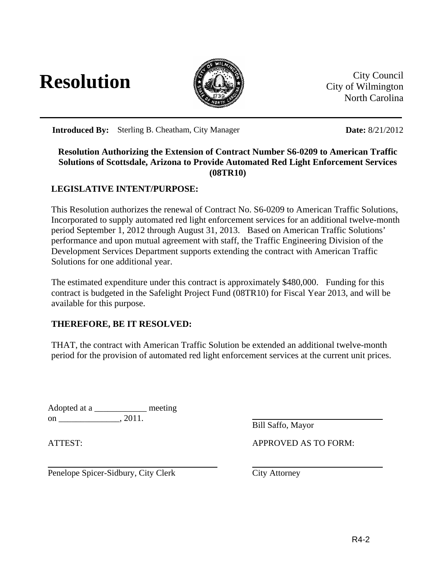



City of Wilmington North Carolina

**Introduced By:** Sterling B. Cheatham, City Manager **Date: 8/21/2012** 

## **Resolution Authorizing the Extension of Contract Number S6-0209 to American Traffic Solutions of Scottsdale, Arizona to Provide Automated Red Light Enforcement Services (08TR10)**

## **LEGISLATIVE INTENT/PURPOSE:**

This Resolution authorizes the renewal of Contract No. S6-0209 to American Traffic Solutions, Incorporated to supply automated red light enforcement services for an additional twelve-month period September 1, 2012 through August 31, 2013. Based on American Traffic Solutions' performance and upon mutual agreement with staff, the Traffic Engineering Division of the Development Services Department supports extending the contract with American Traffic Solutions for one additional year.

The estimated expenditure under this contract is approximately \$480,000. Funding for this contract is budgeted in the Safelight Project Fund (08TR10) for Fiscal Year 2013, and will be available for this purpose.

## **THEREFORE, BE IT RESOLVED:**

THAT, the contract with American Traffic Solution be extended an additional twelve-month period for the provision of automated red light enforcement services at the current unit prices.

Adopted at a \_\_\_\_\_\_\_\_\_\_\_\_\_\_\_\_ meeting on  $\_\_\_\_\_$ , 2011.

Bill Saffo, Mayor

ATTEST: APPROVED AS TO FORM:

Penelope Spicer-Sidbury, City Clerk City Attorney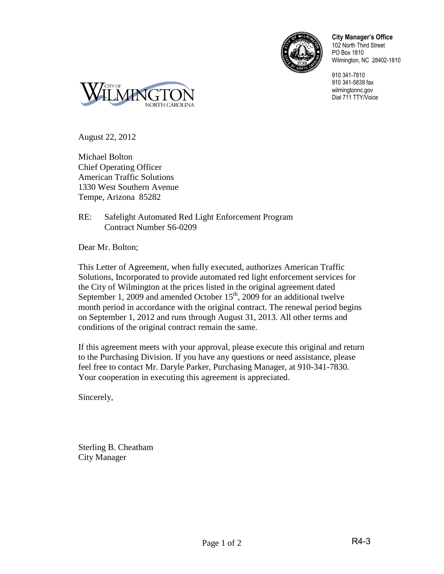

**City Manager's Office** 102 North Third Street PO Box 1810 Wilmington, NC 28402-1810

910 341-7810 910 341-5839 fax wilmingtonnc.gov Dial 711 TTY/Voice



August 22, 2012

Michael Bolton Chief Operating Officer American Traffic Solutions 1330 West Southern Avenue Tempe, Arizona 85282

RE: Safelight Automated Red Light Enforcement Program Contract Number S6-0209

Dear Mr. Bolton;

This Letter of Agreement, when fully executed, authorizes American Traffic Solutions, Incorporated to provide automated red light enforcement services for the City of Wilmington at the prices listed in the original agreement dated September 1, 2009 and amended October  $15<sup>th</sup>$ , 2009 for an additional twelve month period in accordance with the original contract. The renewal period begins on September 1, 2012 and runs through August 31, 2013. All other terms and conditions of the original contract remain the same.

If this agreement meets with your approval, please execute this original and return to the Purchasing Division. If you have any questions or need assistance, please feel free to contact Mr. Daryle Parker, Purchasing Manager, at 910-341-7830. Your cooperation in executing this agreement is appreciated.

Sincerely,

Sterling B. Cheatham City Manager